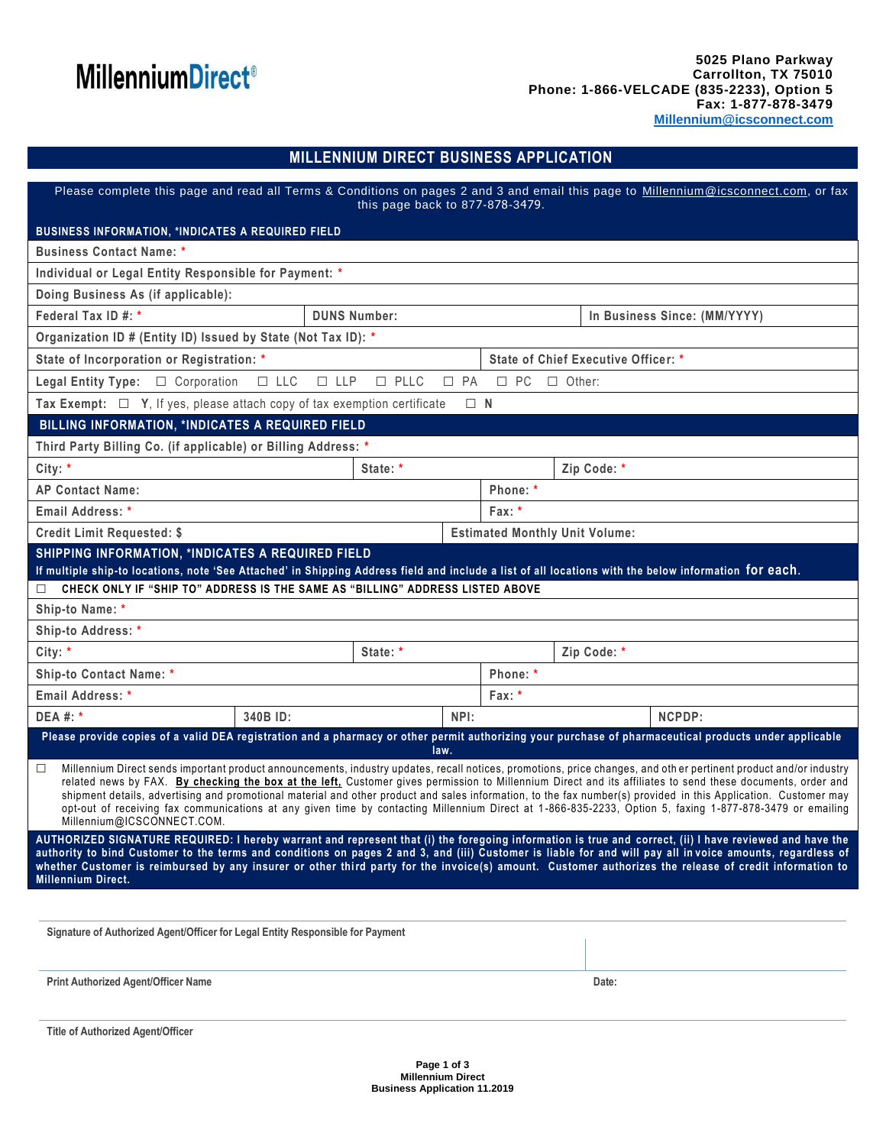# **MillenniumDirect®**

### **MILLENNIUM DIRECT BUSINESS APPLICATION**

| Please complete this page and read all Terms & Conditions on pages 2 and 3 and email this page to Millennium@icsconnect.com, or fax<br>this page back to 877-878-3479.                                                                                                                                                                                                                                                                                                                                                                                                                                                                                                                                 |          |                               |                                     |                                                                                                                                                        |
|--------------------------------------------------------------------------------------------------------------------------------------------------------------------------------------------------------------------------------------------------------------------------------------------------------------------------------------------------------------------------------------------------------------------------------------------------------------------------------------------------------------------------------------------------------------------------------------------------------------------------------------------------------------------------------------------------------|----------|-------------------------------|-------------------------------------|--------------------------------------------------------------------------------------------------------------------------------------------------------|
| <b>BUSINESS INFORMATION, *INDICATES A REQUIRED FIELD</b>                                                                                                                                                                                                                                                                                                                                                                                                                                                                                                                                                                                                                                               |          |                               |                                     |                                                                                                                                                        |
| <b>Business Contact Name: *</b>                                                                                                                                                                                                                                                                                                                                                                                                                                                                                                                                                                                                                                                                        |          |                               |                                     |                                                                                                                                                        |
| Individual or Legal Entity Responsible for Payment: *                                                                                                                                                                                                                                                                                                                                                                                                                                                                                                                                                                                                                                                  |          |                               |                                     |                                                                                                                                                        |
| Doing Business As (if applicable):                                                                                                                                                                                                                                                                                                                                                                                                                                                                                                                                                                                                                                                                     |          |                               |                                     |                                                                                                                                                        |
| Federal Tax ID #: *<br><b>DUNS Number:</b>                                                                                                                                                                                                                                                                                                                                                                                                                                                                                                                                                                                                                                                             |          | In Business Since: (MM/YYYY)  |                                     |                                                                                                                                                        |
| Organization ID # (Entity ID) Issued by State (Not Tax ID): *                                                                                                                                                                                                                                                                                                                                                                                                                                                                                                                                                                                                                                          |          |                               |                                     |                                                                                                                                                        |
| State of Incorporation or Registration: *                                                                                                                                                                                                                                                                                                                                                                                                                                                                                                                                                                                                                                                              |          |                               | State of Chief Executive Officer: * |                                                                                                                                                        |
| $\square$ PLLC<br>$\Box$ LLC<br>$\Box$ LLP<br>$\Box$ PA<br><b>Legal Entity Type:</b> $\Box$ Corporation                                                                                                                                                                                                                                                                                                                                                                                                                                                                                                                                                                                                |          | $\square$ PC<br>$\Box$ Other: |                                     |                                                                                                                                                        |
| Tax Exempt: $\Box$ Y, If yes, please attach copy of tax exemption certificate<br>$\Box$ N                                                                                                                                                                                                                                                                                                                                                                                                                                                                                                                                                                                                              |          |                               |                                     |                                                                                                                                                        |
| BILLING INFORMATION, *INDICATES A REQUIRED FIELD                                                                                                                                                                                                                                                                                                                                                                                                                                                                                                                                                                                                                                                       |          |                               |                                     |                                                                                                                                                        |
| Third Party Billing Co. (if applicable) or Billing Address: *                                                                                                                                                                                                                                                                                                                                                                                                                                                                                                                                                                                                                                          |          |                               |                                     |                                                                                                                                                        |
| City: $*$                                                                                                                                                                                                                                                                                                                                                                                                                                                                                                                                                                                                                                                                                              |          | State: *                      |                                     | Zip Code: *                                                                                                                                            |
| <b>AP Contact Name:</b>                                                                                                                                                                                                                                                                                                                                                                                                                                                                                                                                                                                                                                                                                |          |                               | Phone: *                            |                                                                                                                                                        |
| Email Address: *                                                                                                                                                                                                                                                                                                                                                                                                                                                                                                                                                                                                                                                                                       |          | Fax: *                        |                                     |                                                                                                                                                        |
| <b>Estimated Monthly Unit Volume:</b><br><b>Credit Limit Requested: \$</b>                                                                                                                                                                                                                                                                                                                                                                                                                                                                                                                                                                                                                             |          |                               |                                     |                                                                                                                                                        |
| SHIPPING INFORMATION, *INDICATES A REQUIRED FIELD                                                                                                                                                                                                                                                                                                                                                                                                                                                                                                                                                                                                                                                      |          |                               |                                     |                                                                                                                                                        |
| If multiple ship-to locations, note 'See Attached' in Shipping Address field and include a list of all locations with the below information for each.                                                                                                                                                                                                                                                                                                                                                                                                                                                                                                                                                  |          |                               |                                     |                                                                                                                                                        |
| CHECK ONLY IF "SHIP TO" ADDRESS IS THE SAME AS "BILLING" ADDRESS LISTED ABOVE<br>п<br>Ship-to Name: *                                                                                                                                                                                                                                                                                                                                                                                                                                                                                                                                                                                                  |          |                               |                                     |                                                                                                                                                        |
| Ship-to Address: *                                                                                                                                                                                                                                                                                                                                                                                                                                                                                                                                                                                                                                                                                     |          |                               |                                     |                                                                                                                                                        |
| City: $*$                                                                                                                                                                                                                                                                                                                                                                                                                                                                                                                                                                                                                                                                                              |          | State: *                      |                                     | Zip Code: *                                                                                                                                            |
| Ship-to Contact Name: *                                                                                                                                                                                                                                                                                                                                                                                                                                                                                                                                                                                                                                                                                |          |                               | Phone: *                            |                                                                                                                                                        |
| Email Address: *                                                                                                                                                                                                                                                                                                                                                                                                                                                                                                                                                                                                                                                                                       |          | Fax: *                        |                                     |                                                                                                                                                        |
| <b>DEA #: *</b>                                                                                                                                                                                                                                                                                                                                                                                                                                                                                                                                                                                                                                                                                        | 340B ID: | NPI:                          |                                     | NCPDP:                                                                                                                                                 |
|                                                                                                                                                                                                                                                                                                                                                                                                                                                                                                                                                                                                                                                                                                        |          |                               |                                     | Please provide copies of a valid DEA registration and a pharmacy or other permit authorizing your purchase of pharmaceutical products under applicable |
|                                                                                                                                                                                                                                                                                                                                                                                                                                                                                                                                                                                                                                                                                                        |          | law.                          |                                     |                                                                                                                                                        |
| Millennium Direct sends important product announcements, industry updates, recall notices, promotions, price changes, and other pertinent product and/or industry<br>$\Box$<br>related news by FAX. By checking the box at the left, Customer gives permission to Millennium Direct and its affiliates to send these documents, order and<br>shipment details, advertising and promotional material and other product and sales information, to the fax number(s) provided in this Application. Customer may<br>opt-out of receiving fax communications at any given time by contacting Millennium Direct at 1-866-835-2233, Option 5, faxing 1-877-878-3479 or emailing<br>Millennium@ICSCONNECT.COM. |          |                               |                                     |                                                                                                                                                        |
| AUTHORIZED SIGNATURE REQUIRED: I hereby warrant and represent that (i) the foregoing information is true and correct, (ii) I have reviewed and have the<br>authority to bind Customer to the terms and conditions on pages 2 and 3, and (iii) Customer is liable for and will pay all invoice amounts, regardless of<br>whether Customer is reimbursed by any insurer or other third party for the invoice(s) amount. Customer authorizes the release of credit information to<br><b>Millennium Direct.</b>                                                                                                                                                                                            |          |                               |                                     |                                                                                                                                                        |
|                                                                                                                                                                                                                                                                                                                                                                                                                                                                                                                                                                                                                                                                                                        |          |                               |                                     |                                                                                                                                                        |
| Signature of Authorized Agent/Officer for Legal Entity Responsible for Payment                                                                                                                                                                                                                                                                                                                                                                                                                                                                                                                                                                                                                         |          |                               |                                     |                                                                                                                                                        |
|                                                                                                                                                                                                                                                                                                                                                                                                                                                                                                                                                                                                                                                                                                        |          |                               |                                     |                                                                                                                                                        |
| <b>Print Authorized Agent/Officer Name</b>                                                                                                                                                                                                                                                                                                                                                                                                                                                                                                                                                                                                                                                             |          |                               |                                     | Date:                                                                                                                                                  |

**Title of Authorized Agent/Officer**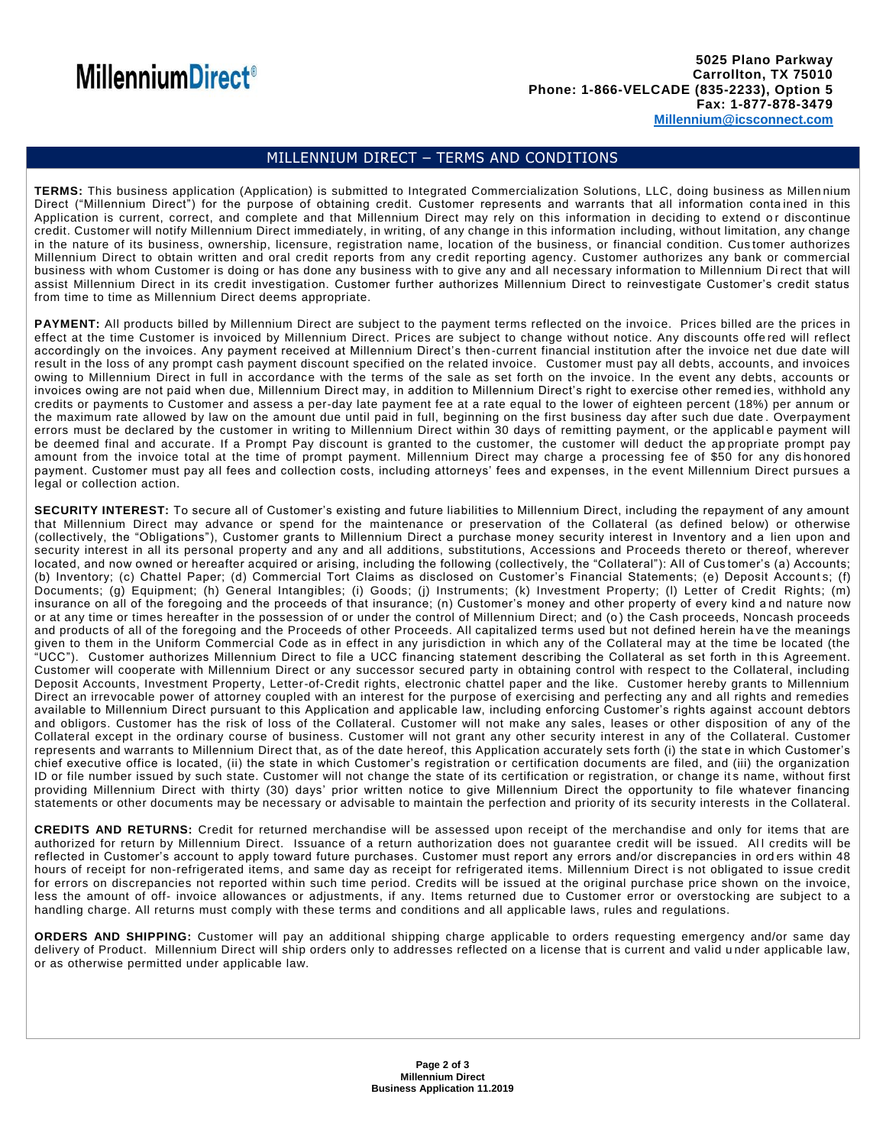## **MillenniumDirect<sup>®</sup>**

#### MILLENNIUM DIRECT – TERMS AND CONDITIONS

**TERMS:** This business application (Application) is submitted to Integrated Commercialization Solutions, LLC, doing business as Millen nium Direct ("Millennium Direct") for the purpose of obtaining credit. Customer represents and warrants that all information conta ined in this Application is current, correct, and complete and that Millennium Direct may rely on this information in deciding to extend or discontinue credit. Customer will notify Millennium Direct immediately, in writing, of any change in this information including, without limitation, any change in the nature of its business, ownership, licensure, registration name, location of the business, or financial condition. Cus tomer authorizes Millennium Direct to obtain written and oral credit reports from any credit reporting agency. Customer authorizes any bank or commercial business with whom Customer is doing or has done any business with to give any and all necessary information to Millennium Di rect that will assist Millennium Direct in its credit investigation. Customer further authorizes Millennium Direct to reinvestigate Customer's credit status from time to time as Millennium Direct deems appropriate.

PAYMENT: All products billed by Millennium Direct are subject to the payment terms reflected on the invoice. Prices billed are the prices in effect at the time Customer is invoiced by Millennium Direct. Prices are subject to change without notice. Any discounts offe red will reflect accordingly on the invoices. Any payment received at Millennium Direct's then -current financial institution after the invoice net due date will result in the loss of any prompt cash payment discount specified on the related invoice. Customer must pay all debts, accounts, and invoices owing to Millennium Direct in full in accordance with the terms of the sale as set forth on the invoice. In the event any debts, accounts or invoices owing are not paid when due, Millennium Direct may, in addition to Millennium Direct's right to exercise other remed ies, withhold any credits or payments to Customer and assess a per-day late payment fee at a rate equal to the lower of eighteen percent (18%) per annum or the maximum rate allowed by law on the amount due until paid in full, beginning on the first business day after such due date . Overpayment errors must be declared by the customer in writing to Millennium Direct within 30 days of remitting payment, or the applicabl e payment will be deemed final and accurate. If a Prompt Pay discount is granted to the customer, the customer will deduct the ap propriate prompt pay amount from the invoice total at the time of prompt payment. Millennium Direct may charge a processing fee of \$50 for any dis honored payment. Customer must pay all fees and collection costs, including attorneys' fees and expenses, in t he event Millennium Direct pursues a legal or collection action.

**SECURITY INTEREST:** To secure all of Customer's existing and future liabilities to Millennium Direct, including the repayment of any amount that Millennium Direct may advance or spend for the maintenance or preservation of the Collateral (as defined below) or otherwise (collectively, the "Obligations"), Customer grants to Millennium Direct a purchase money security interest in Inventory and a lien upon and security interest in all its personal property and any and all additions, substitutions, Accessions and Proceeds thereto or thereof, wherever located, and now owned or hereafter acquired or arising, including the following (collectively, the "Collateral"): All of Cus tomer's (a) Accounts; (b) Inventory; (c) Chattel Paper; (d) Commercial Tort Claims as disclosed on Customer's Financial Statements; (e) Deposit Accounts; (f) Documents; (g) Equipment; (h) General Intangibles; (i) Goods; (j) Instruments; (k) Investment Property; (l) Letter of Credit Rights; (m) insurance on all of the foregoing and the proceeds of that insurance; (n) Customer's money and other property of every kind a nd nature now or at any time or times hereafter in the possession of or under the control of Millennium Direct; and (o ) the Cash proceeds, Noncash proceeds and products of all of the foregoing and the Proceeds of other Proceeds. All capitalized terms used but not defined herein ha ve the meanings given to them in the Uniform Commercial Code as in effect in any jurisdiction in which any of the Collateral may at the time be located (the "UCC"). Customer authorizes Millennium Direct to file a UCC financing statement describing the Collateral as set forth in th is Agreement. Customer will cooperate with Millennium Direct or any successor secured party in obtaining control with respect to the Collateral, including Deposit Accounts, Investment Property, Letter-of-Credit rights, electronic chattel paper and the like. Customer hereby grants to Millennium Direct an irrevocable power of attorney coupled with an interest for the purpose of exercising and perfecting any and all rights and remedies available to Millennium Direct pursuant to this Application and applicable law, including enforcing Customer's rights against account debtors and obligors. Customer has the risk of loss of the Collateral. Customer will not make any sales, leases or other disposition of any of the Collateral except in the ordinary course of business. Customer will not grant any other security interest in any of the Collateral. Customer represents and warrants to Millennium Direct that, as of the date hereof, this Application accurately sets forth (i) the stat e in which Customer's chief executive office is located, (ii) the state in which Customer's registration or certification documents are filed, and (iii) the organization ID or file number issued by such state. Customer will not change the state of its certification or registration, or change it s name, without first providing Millennium Direct with thirty (30) days' prior written notice to give Millennium Direct the opportunity to file whatever financing statements or other documents may be necessary or advisable to maintain the perfection and priority of its security interests in the Collateral.

**CREDITS AND RETURNS:** Credit for returned merchandise will be assessed upon receipt of the merchandise and only for items that are authorized for return by Millennium Direct. Issuance of a return authorization does not guarantee credit will be issued. All credits will be reflected in Customer's account to apply toward future purchases. Customer must report any errors and/or discrepancies in ord ers within 48 hours of receipt for non-refrigerated items, and same day as receipt for refrigerated items. Millennium Direct is not obligated to issue credit for errors on discrepancies not reported within such time period. Credits will be issued at the original purchase price shown on the invoice, less the amount of off- invoice allowances or adjustments, if any. Items returned due to Customer error or overstocking are subject to a handling charge. All returns must comply with these terms and conditions and all applicable laws, rules and regulations.

**ORDERS AND SHIPPING:** Customer will pay an additional shipping charge applicable to orders requesting emergency and/or same day delivery of Product. Millennium Direct will ship orders only to addresses reflected on a license that is current and valid u nder applicable law, or as otherwise permitted under applicable law.